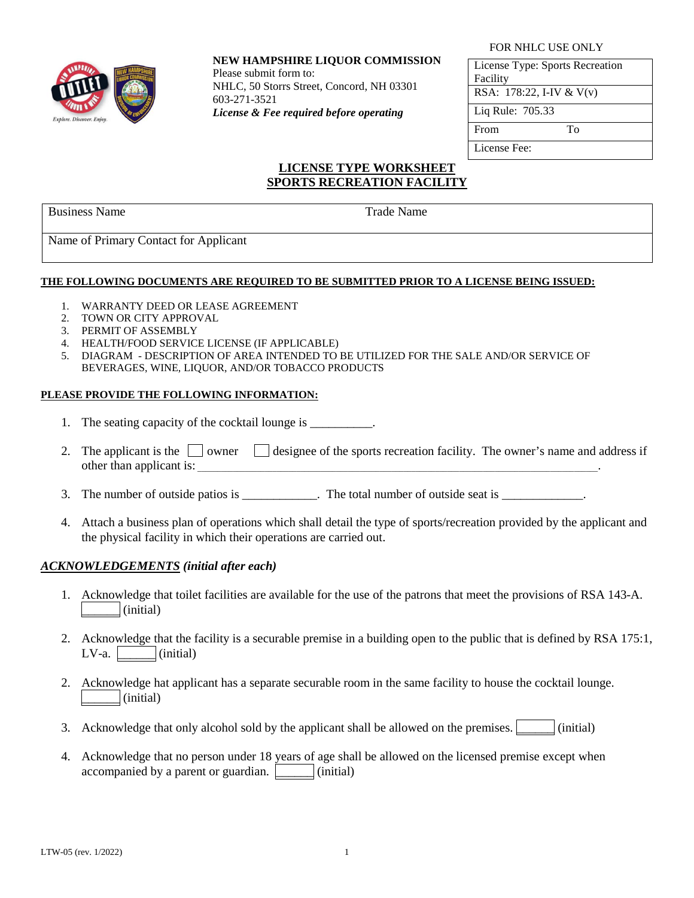

### **NEW HAMPSHIRE LIQUOR COMMISSION**

Please submit form to: NHLC, 50 Storrs Street, Concord, NH 03301 603-271-3521 *License & Fee required before operating*

#### FOR NHLC USE ONLY

License Type: Sports Recreation Facility RSA: 178:22, I-IV & V(v) Liq Rule: 705.33 From To License Fee:

## **LICENSE TYPE WORKSHEET SPORTS RECREATION FACILITY**

Business Name Trade Name Trade Name

Name of Primary Contact for Applicant

## **THE FOLLOWING DOCUMENTS ARE REQUIRED TO BE SUBMITTED PRIOR TO A LICENSE BEING ISSUED:**

- 1. WARRANTY DEED OR LEASE AGREEMENT
- 2. TOWN OR CITY APPROVAL
- 3. PERMIT OF ASSEMBLY
- 4. HEALTH/FOOD SERVICE LICENSE (IF APPLICABLE)
- 5. DIAGRAM DESCRIPTION OF AREA INTENDED TO BE UTILIZED FOR THE SALE AND/OR SERVICE OF BEVERAGES, WINE, LIQUOR, AND/OR TOBACCO PRODUCTS

### **PLEASE PROVIDE THE FOLLOWING INFORMATION:**

- 1. The seating capacity of the cocktail lounge is \_\_\_\_\_\_\_\_\_\_.
- 2. The applicant is the  $\Box$  owner  $\Box$  designee of the sports recreation facility. The owner's name and address if other than applicant is:
- 3. The number of outside patios is \_\_\_\_\_\_\_\_\_\_\_\_. The total number of outside seat is \_\_\_\_\_\_\_\_\_\_\_\_.
- 4. Attach a business plan of operations which shall detail the type of sports/recreation provided by the applicant and the physical facility in which their operations are carried out.

## *ACKNOWLEDGEMENTS (initial after each)*

- 1. Acknowledge that toilet facilities are available for the use of the patrons that meet the provisions of RSA 143-A.  $\text{ (initial)}$
- 2. Acknowledge that the facility is a securable premise in a building open to the public that is defined by RSA 175:1,  $LV-a.$   $(inital)$
- 2. Acknowledge hat applicant has a separate securable room in the same facility to house the cocktail lounge. (initial)
- 3. Acknowledge that only alcohol sold by the applicant shall be allowed on the premises.  $\vert$  (initial)
- 4. Acknowledge that no person under 18 years of age shall be allowed on the licensed premise except when accompanied by a parent or guardian.  $\vert$  (initial)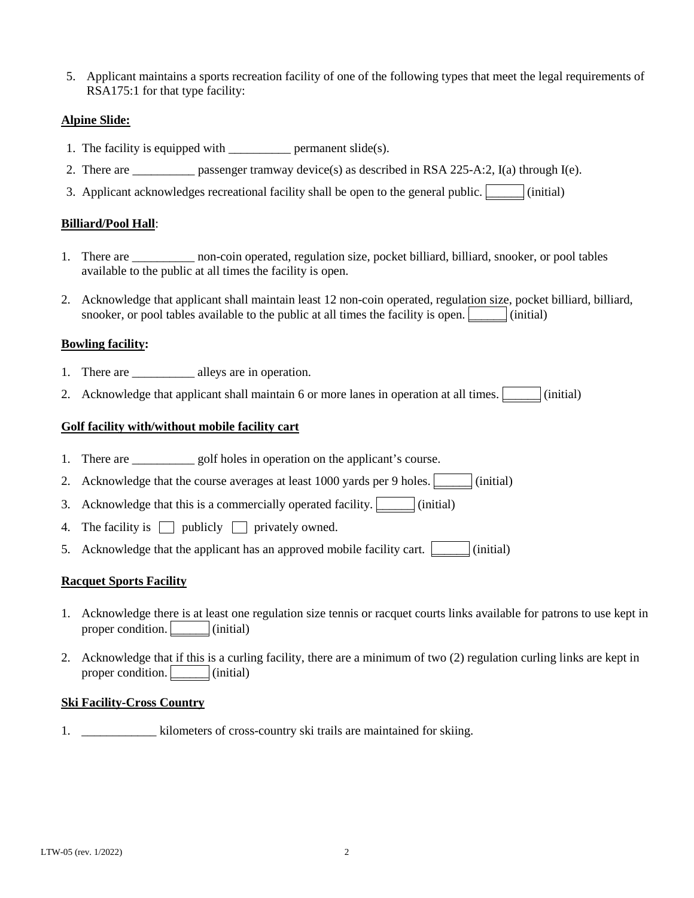5. Applicant maintains a sports recreation facility of one of the following types that meet the legal requirements of RSA175:1 for that type facility:

## **Alpine Slide:**

- 1. The facility is equipped with  $\qquad$  permanent slide(s).
- 2. There are \_\_\_\_\_\_\_\_\_\_ passenger tramway device(s) as described in RSA 225-A:2,  $I(a)$  through  $I(e)$ .
- 3. Applicant acknowledges recreational facility shall be open to the general public.  $\boxed{\phantom{a}}$  (initial)

## **Billiard/Pool Hall**:

- 1. There are \_\_\_\_\_\_\_\_\_\_ non-coin operated, regulation size, pocket billiard, billiard, snooker, or pool tables available to the public at all times the facility is open.
- 2. Acknowledge that applicant shall maintain least 12 non-coin operated, regulation size, pocket billiard, billiard, snooker, or pool tables available to the public at all times the facility is open.  $\Box$  (initial)

### **Bowling facility:**

- 1. There are \_\_\_\_\_\_\_\_\_\_\_\_\_ alleys are in operation.
- 2. Acknowledge that applicant shall maintain 6 or more lanes in operation at all times.  $\vert$  (initial)

### **Golf facility with/without mobile facility cart**

- 1. There are \_\_\_\_\_\_\_\_\_\_\_\_ golf holes in operation on the applicant's course.
- 2. Acknowledge that the course averages at least 1000 yards per 9 holes.  $\Box$  (initial)
- 3. Acknowledge that this is a commercially operated facility.  $\boxed{\phantom{a}}$  (initial)
- 4. The facility is  $\Box$  publicly  $\Box$  privately owned.
- 5. Acknowledge that the applicant has an approved mobile facility cart.  $\Box$  (initial)

#### **Racquet Sports Facility**

- 1. Acknowledge there is at least one regulation size tennis or racquet courts links available for patrons to use kept in proper condition.  $\vert$  (initial)
- 2. Acknowledge that if this is a curling facility, there are a minimum of two (2) regulation curling links are kept in proper condition.  $\vert$  (initial)

#### **Ski Facility-Cross Country**

1.  $\blacksquare$  kilometers of cross-country ski trails are maintained for skiing.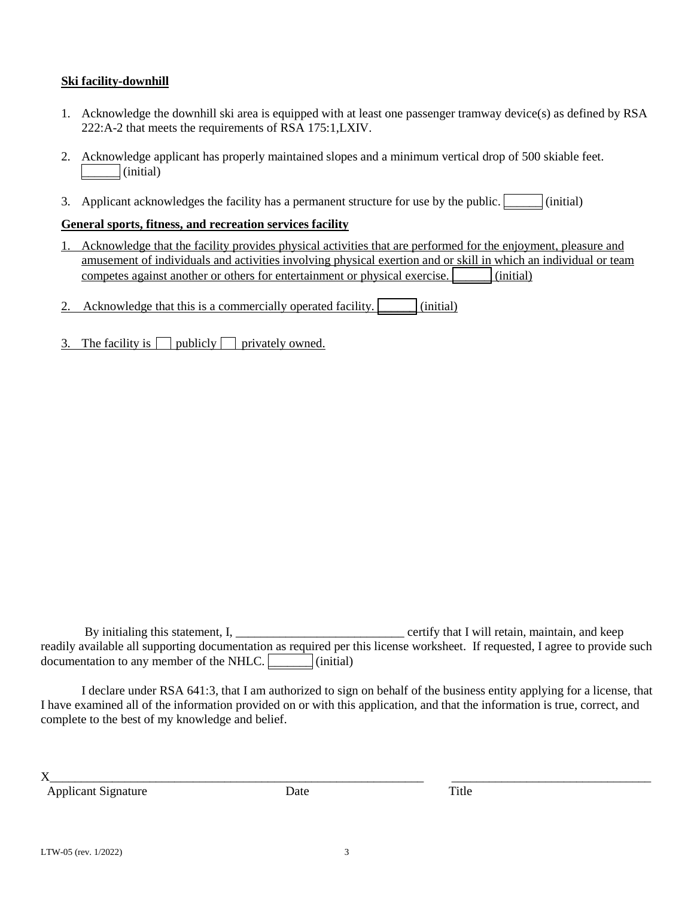## **Ski facility-downhill**

- 1. Acknowledge the downhill ski area is equipped with at least one passenger tramway device(s) as defined by RSA 222:A-2 that meets the requirements of RSA 175:1,LXIV.
- 2. Acknowledge applicant has properly maintained slopes and a minimum vertical drop of 500 skiable feet. \_\_\_\_\_\_ (initial)
- 3. Applicant acknowledges the facility has a permanent structure for use by the public.  $\Box$  (initial)

## **General sports, fitness, and recreation services facility**

1. Acknowledge that the facility provides physical activities that are performed for the enjoyment, pleasure and amusement of individuals and activities involving physical exertion and or skill in which an individual or team competes against another or others for entertainment or physical exercise.  $\boxed{\qquad}$  (initial)

2. Acknowledge that this is a commercially operated facility.  $\boxed{\phantom{a}}$  (initial)

3. The facility is  $\Box$  publicly  $\Box$  privately owned.

By initialing this statement, I, the certify that I will retain, maintain, and keep readily available all supporting documentation as required per this license worksheet. If requested, I agree to provide such documentation to any member of the NHLC. **Example** (initial)

I declare under RSA 641:3, that I am authorized to sign on behalf of the business entity applying for a license, that I have examined all of the information provided on or with this application, and that the information is true, correct, and complete to the best of my knowledge and belief.

X\_\_\_\_\_\_\_\_\_\_\_\_\_\_\_\_\_\_\_\_\_\_\_\_\_\_\_\_\_\_\_\_\_\_\_\_\_\_\_\_\_\_\_\_\_\_\_\_\_\_\_\_\_\_\_\_\_\_\_\_ \_\_\_\_\_\_\_\_\_\_\_\_\_\_\_\_\_\_\_\_\_\_\_\_\_\_\_\_\_\_\_\_

Applicant Signature Date Date Title